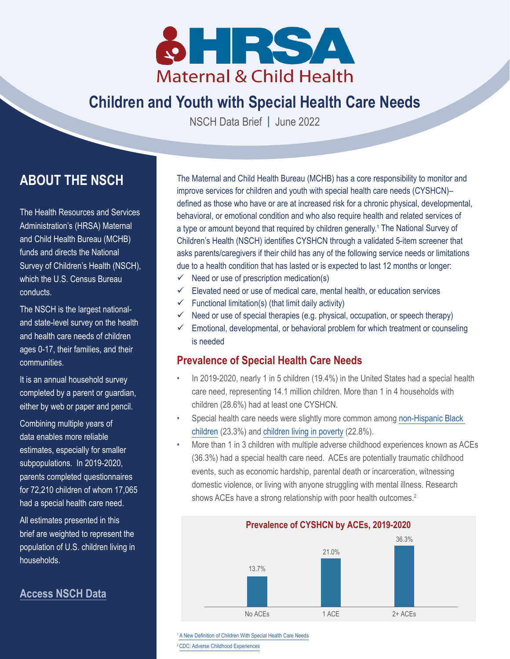

# **Children and Youth with Special Health Care Needs**

NSCH Data Brief **|** June 2022

## **ABOUT THE NSCH**

The Health Resources and Services Administration's (HRSA) Maternal and Child Health Bureau (MCHB) funds and directs the National Survey of Children's Health (NSCH), which the U.S. Census Bureau conducts.

The NSCH is the largest nationaland state-level survey on the health and health care needs of children ages 0-17, their families, and their communities.

It is an annual household survey completed by a parent or guardian, either by web or paper and pencil.

Combining multiple years of data enables more reliable estimates, especially for smaller subpopulations. In 2019-2020, parents completed questionnaires for 72,210 children of whom 17,065 had a special health care need.

All estimates presented in this brief are weighted to represent the population of U.S. children living in households.

### **[Access NSCH Data](https://mchb.hrsa.gov/data-research/national-survey-childrens-health)**

The Maternal and Child Health Bureau (MCHB) has a core responsibility to monitor and improve services for children and youth with special health care needs (CYSHCN)– defined as those who have or are at increased risk for a chronic physical, developmental, behavioral, or emotional condition and who also require health and related services of a type or amount beyond that required by children generally.<sup>1</sup> The National Survey of Children's Health (NSCH) identifies CYSHCN through a validated 5-item screener that asks parents/caregivers if their child has any of the following service needs or limitations due to a health condition that has lasted or is expected to last 12 months or longer:

- $\checkmark$  Need or use of prescription medication(s)
- $\checkmark$  Elevated need or use of medical care, mental health, or education services
- $\checkmark$  Functional limitation(s) (that limit daily activity)
- $\checkmark$  Need or use of special therapies (e.g. physical, occupation, or speech therapy)
- $\checkmark$  Emotional, developmental, or behavioral problem for which treatment or counseling is needed

### **Prevalence of Special Health Care Needs**

- In 2019-2020, nearly 1 in 5 children (19.4%) in the United States had a special health care need, representing 14.1 million children. More than 1 in 4 households with children (28.6%) had at least one CYSHCN.
- Special health care needs were slightly more common among [non-Hispanic Black](https://www.childhealthdata.org/browse/survey/results?q=8520&r=1&g=914)  [children](https://www.childhealthdata.org/browse/survey/results?q=8520&r=1&g=914) (23.3%) and [children living in poverty](https://www.childhealthdata.org/browse/survey/results?q=8520&r=1&g=900) (22.8%).
- More than 1 in 3 children with multiple adverse childhood experiences known as ACEs (36.3%) had a special health care need. ACEs are potentially traumatic childhood events, such as economic hardship, parental death or incarceration, witnessing domestic violence, or living with anyone struggling with mental illness. Research shows ACEs have a strong relationship with poor health outcomes.<sup>2</sup>



<sup>1</sup> [A New Definition of Children With Special Health Care Needs](https://publications.aap.org/pediatrics/article-abstract/102/1/137/65417/A-New-Definition-of-Children-With-Special-Health?redirectedFrom=fulltext) 2 [CDC: Adverse Childhood Experiences](https://www.cdc.gov/violenceprevention/aces/index.html)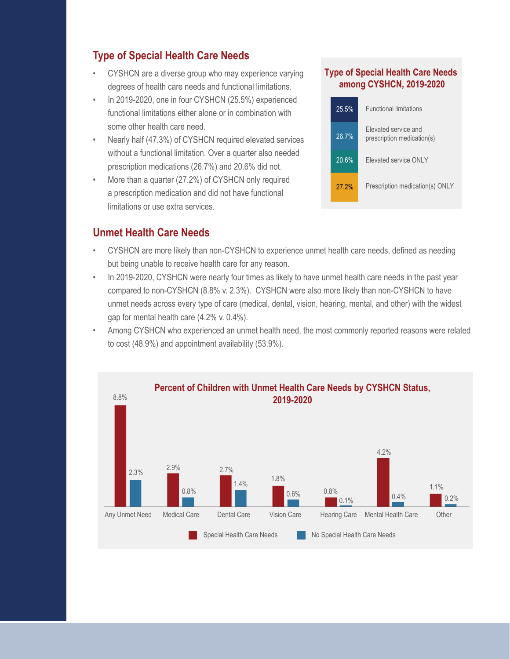## **Type of Special Health Care Needs**

- CYSHCN are a diverse group who may experience varying degrees of health care needs and functional limitations.
- In 2019-2020, one in four CYSHCN (25.5%) experienced functional limitations either alone or in combination with some other health care need.
- Nearly half (47.3%) of CYSHCN required elevated services without a functional limitation. Over a quarter also needed prescription medications (26.7%) and 20.6% did not.
- More than a quarter (27.2%) of CYSHCN only required a prescription medication and did not have functional limitations or use extra services.

### **Unmet Health Care Needs**

#### **Type of Special Health Care Needs among CYSHCN, 2019-2020**

| 25.5%    | <b>Functional limitations</b>                      |
|----------|----------------------------------------------------|
| 26.7%    | Elevated service and<br>prescription medication(s) |
| 20.6%    | Flevated service ONLY                              |
| $27.2\%$ | Prescription medication(s) ONLY                    |

- CYSHCN are more likely than non-CYSHCN to experience unmet health care needs, defined as needing but being unable to receive health care for any reason.
- In 2019-2020, CYSHCN were nearly four times as likely to have unmet health care needs in the past year compared to non-CYSHCN (8.8% v. 2.3%). CYSHCN were also more likely than non-CYSHCN to have unmet needs across every type of care (medical, dental, vision, hearing, mental, and other) with the widest gap for mental health care (4.2% v. 0.4%).
- Among CYSHCN who experienced an unmet health need, the most commonly reported reasons were related to cost (48.9%) and appointment availability (53.9%).